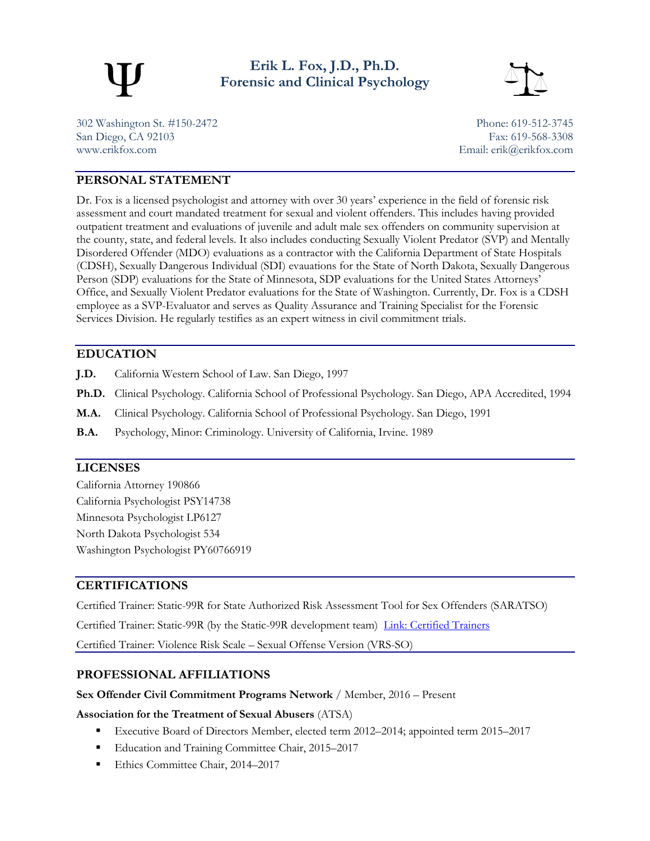

**Erik L. Fox, J.D., Ph.D. Forensic and Clinical Psychology**



302 Washington St. #150-2472 Phone: 619-512-3745 San Diego, CA 92103 Fax: 619-568-3308 [www.erikfox.com](http://www.erikfox.com/) Email: [erik@erikfox.com](mailto:erik@erikfox.com)

## **PERSONAL STATEMENT**

Dr. Fox is a licensed psychologist and attorney with over 30 years' experience in the field of forensic risk assessment and court mandated treatment for sexual and violent offenders. This includes having provided outpatient treatment and evaluations of juvenile and adult male sex offenders on community supervision at the county, state, and federal levels. It also includes conducting Sexually Violent Predator (SVP) and Mentally Disordered Offender (MDO) evaluations as a contractor with the California Department of State Hospitals (CDSH), Sexually Dangerous Individual (SDI) evauations for the State of North Dakota, Sexually Dangerous Person (SDP) evaluations for the State of Minnesota, SDP evaluations for the United States Attorneys' Office, and Sexually Violent Predator evaluations for the State of Washington. Currently, Dr. Fox is a CDSH employee as a SVP-Evaluator and serves as Quality Assurance and Training Specialist for the Forensic Services Division. He regularly testifies as an expert witness in civil commitment trials.

## **EDUCATION**

- **J.D.** California Western School of Law. San Diego, 1997
- **Ph.D.** Clinical Psychology. California School of Professional Psychology. San Diego, APA Accredited, 1994
- **M.A.** Clinical Psychology. California School of Professional Psychology. San Diego, 1991
- **B.A.** Psychology, Minor: Criminology. University of California, Irvine. 1989

## **LICENSES**

California Attorney 190866 California Psychologist PSY14738 Minnesota Psychologist LP6127 North Dakota Psychologist 534 Washington Psychologist PY60766919

# **CERTIFICATIONS**

Certified Trainer: Static-99R for State Authorized Risk Assessment Tool for Sex Offenders (SARATSO)

Certified Trainer: Static-99R (by the Static-99R development team) [Link: Certified Trainers](http://static99.org/pdfdocs/Training-Static-99R-Certified_Trainers_for_website_2016-02.pdf)

Certified Trainer: Violence Risk Scale – Sexual Offense Version (VRS-SO)

## **PROFESSIONAL AFFILIATIONS**

#### **Sex Offender Civil Commitment Programs Network** / Member, 2016 – Present

**Association for the Treatment of Sexual Abusers** (ATSA)

- Executive Board of Directors Member, elected term 2012–2014; appointed term 2015–2017
- Education and Training Committee Chair, 2015–2017
- Ethics Committee Chair, 2014–2017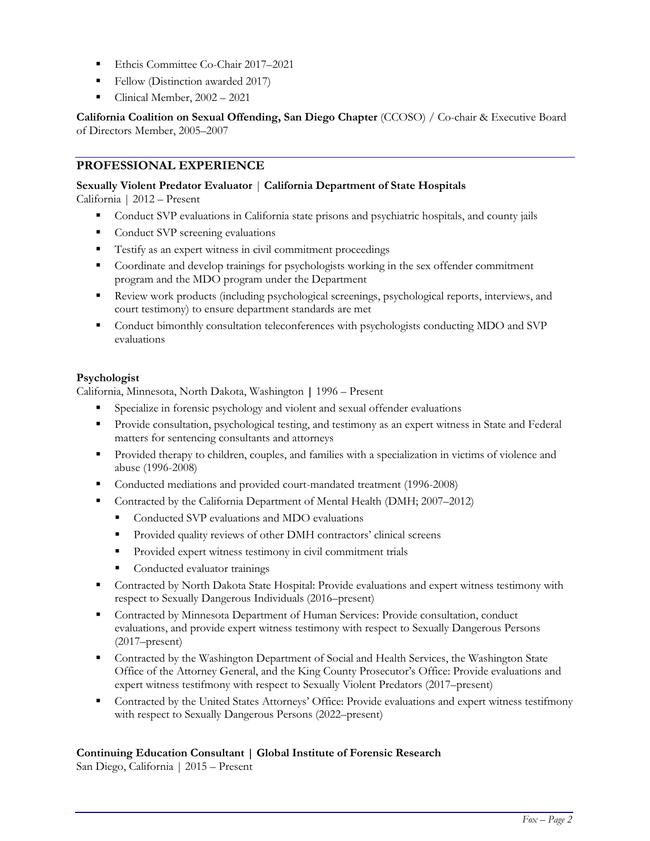- Ethcis Committee Co-Chair 2017–2021
- Fellow (Distinction awarded 2017)
- Clinical Member, 2002 2021

**California Coalition on Sexual Offending, San Diego Chapter** (CCOSO) / Co-chair & Executive Board of Directors Member, 2005–2007

## **PROFESSIONAL EXPERIENCE**

#### **Sexually Violent Predator Evaluator** | **California Department of State Hospitals**

California | 2012 – Present

- Conduct SVP evaluations in California state prisons and psychiatric hospitals, and county jails
- Conduct SVP screening evaluations
- **•** Testify as an expert witness in civil commitment proceedings
- Coordinate and develop trainings for psychologists working in the sex offender commitment program and the MDO program under the Department
- Review work products (including psychological screenings, psychological reports, interviews, and court testimony) to ensure department standards are met
- Conduct bimonthly consultation teleconferences with psychologists conducting MDO and SVP evaluations

#### **Psychologist**

California, Minnesota, North Dakota, Washington **|** 1996 – Present

- Specialize in forensic psychology and violent and sexual offender evaluations
- **•** Provide consultation, psychological testing, and testimony as an expert witness in State and Federal matters for sentencing consultants and attorneys
- **•** Provided therapy to children, couples, and families with a specialization in victims of violence and abuse (1996-2008)
- Conducted mediations and provided court-mandated treatment (1996-2008)
- Contracted by the California Department of Mental Health (DMH; 2007–2012)
	- Conducted SVP evaluations and MDO evaluations
	- **•** Provided quality reviews of other DMH contractors' clinical screens
	- **•** Provided expert witness testimony in civil commitment trials
	- Conducted evaluator trainings
- Contracted by North Dakota State Hospital: Provide evaluations and expert witness testimony with respect to Sexually Dangerous Individuals (2016–present)
- Contracted by Minnesota Department of Human Services: Provide consultation, conduct evaluations, and provide expert witness testimony with respect to Sexually Dangerous Persons (2017–present)
- Contracted by the Washington Department of Social and Health Services, the Washington State Office of the Attorney General, and the King County Prosecutor's Office: Provide evaluations and expert witness testifmony with respect to Sexually Violent Predators (2017–present)
- Contracted by the United States Attorneys' Office: Provide evaluations and expert witness testifmony with respect to Sexually Dangerous Persons (2022–present)

#### **Continuing Education Consultant | Global Institute of Forensic Research**

San Diego, California | 2015 – Present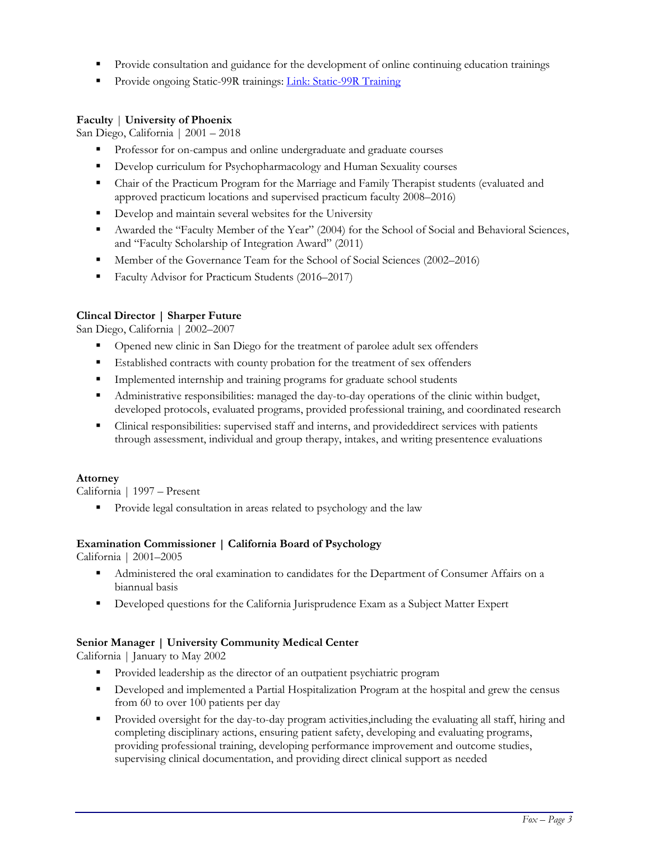- Provide consultation and guidance for the development of online continuing education trainings
- Provide ongoing Static-99R trainings: [Link: Static-99R Training](https://www.gifrinc.com/static-99r/)

## **Faculty** | **University of Phoenix**

San Diego, California | 2001 – 2018

- Professor for on-campus and online undergraduate and graduate courses
- **•** Develop curriculum for Psychopharmacology and Human Sexuality courses
- Chair of the Practicum Program for the Marriage and Family Therapist students (evaluated and approved practicum locations and supervised practicum faculty 2008–2016)
- Develop and maintain several websites for the University
- Awarded the "Faculty Member of the Year" (2004) for the School of Social and Behavioral Sciences, and "Faculty Scholarship of Integration Award" (2011)
- Member of the Governance Team for the School of Social Sciences (2002–2016)
- Faculty Advisor for Practicum Students (2016–2017)

## **Clincal Director | Sharper Future**

San Diego, California | 2002–2007

- Opened new clinic in San Diego for the treatment of parolee adult sex offenders
- **Established contracts with county probation for the treatment of sex offenders**
- **Implemented internship and training programs for graduate school students**
- Administrative responsibilities: managed the day-to-day operations of the clinic within budget, developed protocols, evaluated programs, provided professional training, and coordinated research
- Clinical responsibilities: supervised staff and interns, and provideddirect services with patients through assessment, individual and group therapy, intakes, and writing presentence evaluations

#### **Attorney**

California | 1997 – Present

Provide legal consultation in areas related to psychology and the law

## **Examination Commissioner | California Board of Psychology**

California | 2001–2005

- Administered the oral examination to candidates for the Department of Consumer Affairs on a biannual basis
- Developed questions for the California Jurisprudence Exam as a Subject Matter Expert

## **Senior Manager | University Community Medical Center**

California | January to May 2002

- Provided leadership as the director of an outpatient psychiatric program
- **•** Developed and implemented a Partial Hospitalization Program at the hospital and grew the census from 60 to over 100 patients per day
- Provided oversight for the day-to-day program activities, including the evaluating all staff, hiring and completing disciplinary actions, ensuring patient safety, developing and evaluating programs, providing professional training, developing performance improvement and outcome studies, supervising clinical documentation, and providing direct clinical support as needed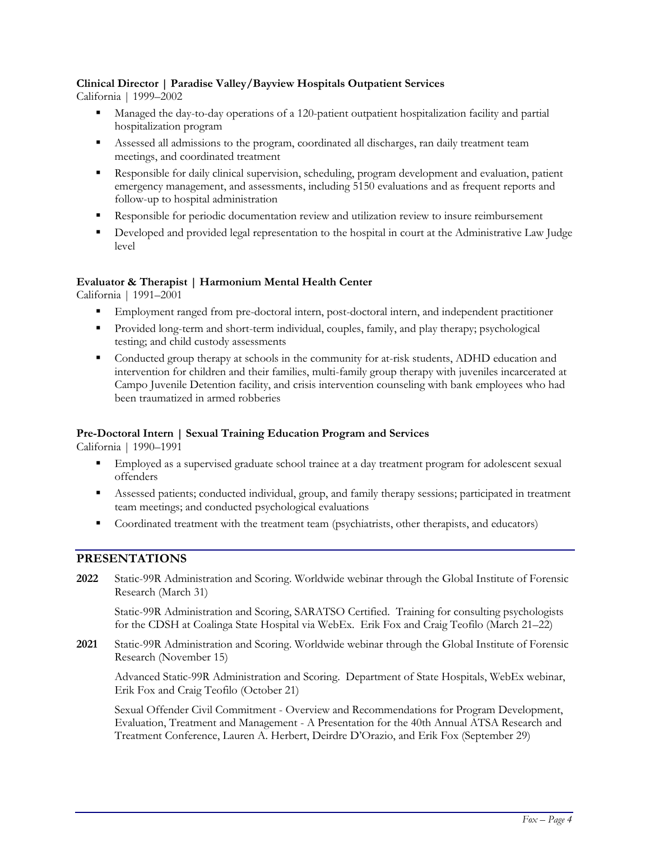## **Clinical Director | Paradise Valley/Bayview Hospitals Outpatient Services**

California | 1999–2002

- Managed the day-to-day operations of a 120-patient outpatient hospitalization facility and partial hospitalization program
- Assessed all admissions to the program, coordinated all discharges, ran daily treatment team meetings, and coordinated treatment
- **EXECUTE:** Responsible for daily clinical supervision, scheduling, program development and evaluation, patient emergency management, and assessments, including 5150 evaluations and as frequent reports and follow-up to hospital administration
- Responsible for periodic documentation review and utilization review to insure reimbursement
- **•** Developed and provided legal representation to the hospital in court at the Administrative Law Judge level

## **Evaluator & Therapist | Harmonium Mental Health Center**

California | 1991–2001

- Employment ranged from pre-doctoral intern, post-doctoral intern, and independent practitioner
- **•** Provided long-term and short-term individual, couples, family, and play therapy; psychological testing; and child custody assessments
- Conducted group therapy at schools in the community for at-risk students, ADHD education and intervention for children and their families, multi-family group therapy with juveniles incarcerated at Campo Juvenile Detention facility, and crisis intervention counseling with bank employees who had been traumatized in armed robberies

## **Pre-Doctoral Intern | Sexual Training Education Program and Services**

California | 1990–1991

- **Employed as a supervised graduate school trainee at a day treatment program for adolescent sexual** offenders
- Assessed patients; conducted individual, group, and family therapy sessions; participated in treatment team meetings; and conducted psychological evaluations
- Coordinated treatment with the treatment team (psychiatrists, other therapists, and educators)

# **PRESENTATIONS**

**2022** Static-99R Administration and Scoring. Worldwide webinar through the Global Institute of Forensic Research (March 31)

Static-99R Administration and Scoring, SARATSO Certified. Training for consulting psychologists for the CDSH at Coalinga State Hospital via WebEx. Erik Fox and Craig Teofilo (March 21–22)

**2021** Static-99R Administration and Scoring. Worldwide webinar through the Global Institute of Forensic Research (November 15)

Advanced Static-99R Administration and Scoring. Department of State Hospitals, WebEx webinar, Erik Fox and Craig Teofilo (October 21)

Sexual Offender Civil Commitment - Overview and Recommendations for Program Development, Evaluation, Treatment and Management - A Presentation for the 40th Annual ATSA Research and Treatment Conference, Lauren A. Herbert, Deirdre D'Orazio, and Erik Fox (September 29)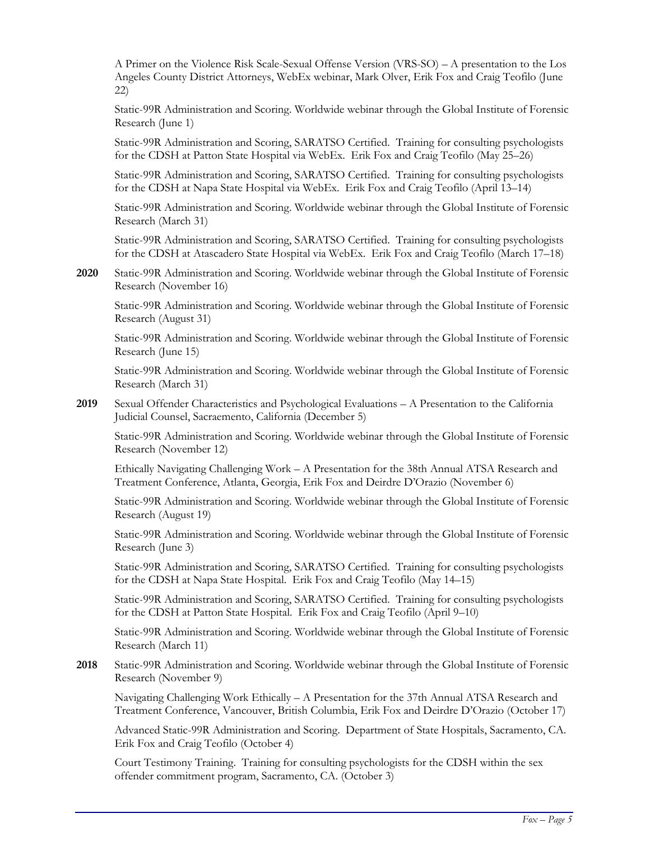A Primer on the Violence Risk Scale-Sexual Offense Version (VRS-SO) – A presentation to the Los Angeles County District Attorneys, WebEx webinar, Mark Olver, Erik Fox and Craig Teofilo (June 22)

Static-99R Administration and Scoring. Worldwide webinar through the Global Institute of Forensic Research (June 1)

Static-99R Administration and Scoring, SARATSO Certified. Training for consulting psychologists for the CDSH at Patton State Hospital via WebEx. Erik Fox and Craig Teofilo (May 25–26)

Static-99R Administration and Scoring, SARATSO Certified. Training for consulting psychologists for the CDSH at Napa State Hospital via WebEx. Erik Fox and Craig Teofilo (April 13–14)

Static-99R Administration and Scoring. Worldwide webinar through the Global Institute of Forensic Research (March 31)

Static-99R Administration and Scoring, SARATSO Certified. Training for consulting psychologists for the CDSH at Atascadero State Hospital via WebEx. Erik Fox and Craig Teofilo (March 17–18)

**2020** Static-99R Administration and Scoring. Worldwide webinar through the Global Institute of Forensic Research (November 16)

Static-99R Administration and Scoring. Worldwide webinar through the Global Institute of Forensic Research (August 31)

Static-99R Administration and Scoring. Worldwide webinar through the Global Institute of Forensic Research (June 15)

Static-99R Administration and Scoring. Worldwide webinar through the Global Institute of Forensic Research (March 31)

**2019** Sexual Offender Characteristics and Psychological Evaluations – A Presentation to the California Judicial Counsel, Sacraemento, California (December 5)

Static-99R Administration and Scoring. Worldwide webinar through the Global Institute of Forensic Research (November 12)

Ethically Navigating Challenging Work – A Presentation for the 38th Annual ATSA Research and Treatment Conference, Atlanta, Georgia, Erik Fox and Deirdre D'Orazio (November 6)

Static-99R Administration and Scoring. Worldwide webinar through the Global Institute of Forensic Research (August 19)

Static-99R Administration and Scoring. Worldwide webinar through the Global Institute of Forensic Research (June 3)

Static-99R Administration and Scoring, SARATSO Certified. Training for consulting psychologists for the CDSH at Napa State Hospital. Erik Fox and Craig Teofilo (May 14–15)

Static-99R Administration and Scoring, SARATSO Certified. Training for consulting psychologists for the CDSH at Patton State Hospital. Erik Fox and Craig Teofilo (April 9–10)

Static-99R Administration and Scoring. Worldwide webinar through the Global Institute of Forensic Research (March 11)

**2018** Static-99R Administration and Scoring. Worldwide webinar through the Global Institute of Forensic Research (November 9)

Navigating Challenging Work Ethically – A Presentation for the 37th Annual ATSA Research and Treatment Conference, Vancouver, British Columbia, Erik Fox and Deirdre D'Orazio (October 17)

Advanced Static-99R Administration and Scoring. Department of State Hospitals, Sacramento, CA. Erik Fox and Craig Teofilo (October 4)

Court Testimony Training. Training for consulting psychologists for the CDSH within the sex offender commitment program, Sacramento, CA. (October 3)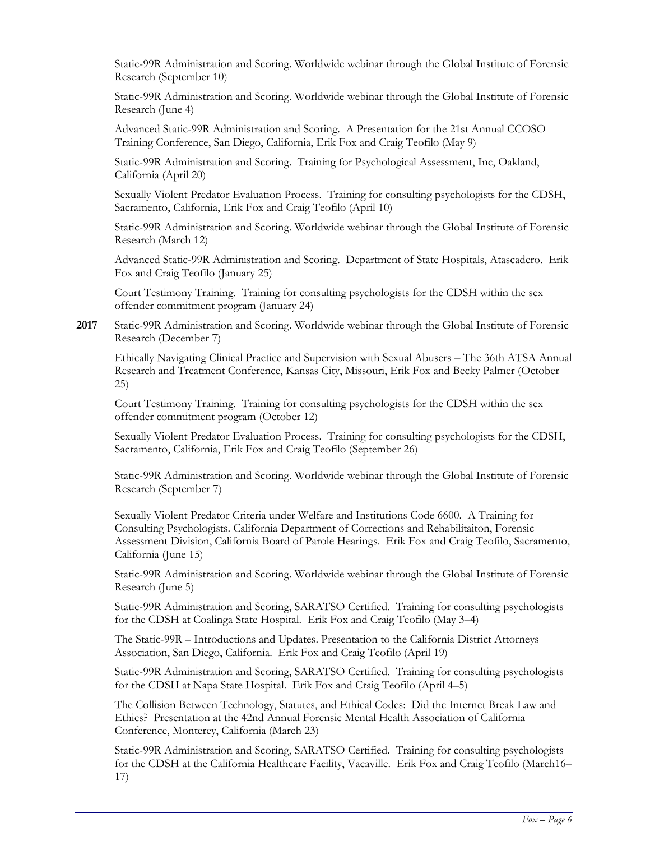Static-99R Administration and Scoring. Worldwide webinar through the Global Institute of Forensic Research (September 10)

Static-99R Administration and Scoring. Worldwide webinar through the Global Institute of Forensic Research (June 4)

Advanced Static-99R Administration and Scoring. A Presentation for the 21st Annual CCOSO Training Conference, San Diego, California, Erik Fox and Craig Teofilo (May 9)

Static-99R Administration and Scoring. Training for Psychological Assessment, Inc, Oakland, California (April 20)

Sexually Violent Predator Evaluation Process. Training for consulting psychologists for the CDSH, Sacramento, California, Erik Fox and Craig Teofilo (April 10)

Static-99R Administration and Scoring. Worldwide webinar through the Global Institute of Forensic Research (March 12)

Advanced Static-99R Administration and Scoring. Department of State Hospitals, Atascadero. Erik Fox and Craig Teofilo (January 25)

Court Testimony Training. Training for consulting psychologists for the CDSH within the sex offender commitment program (January 24)

#### **2017** Static-99R Administration and Scoring. Worldwide webinar through the Global Institute of Forensic Research (December 7)

Ethically Navigating Clinical Practice and Supervision with Sexual Abusers – The 36th ATSA Annual Research and Treatment Conference, Kansas City, Missouri, Erik Fox and Becky Palmer (October 25)

Court Testimony Training. Training for consulting psychologists for the CDSH within the sex offender commitment program (October 12)

Sexually Violent Predator Evaluation Process. Training for consulting psychologists for the CDSH, Sacramento, California, Erik Fox and Craig Teofilo (September 26)

Static-99R Administration and Scoring. Worldwide webinar through the Global Institute of Forensic Research (September 7)

Sexually Violent Predator Criteria under Welfare and Institutions Code 6600. A Training for Consulting Psychologists. California Department of Corrections and Rehabilitaiton, Forensic Assessment Division, California Board of Parole Hearings. Erik Fox and Craig Teofilo, Sacramento, California (June 15)

Static-99R Administration and Scoring. Worldwide webinar through the Global Institute of Forensic Research (June 5)

Static-99R Administration and Scoring, SARATSO Certified. Training for consulting psychologists for the CDSH at Coalinga State Hospital. Erik Fox and Craig Teofilo (May 3–4)

The Static-99R – Introductions and Updates. Presentation to the California District Attorneys Association, San Diego, California. Erik Fox and Craig Teofilo (April 19)

Static-99R Administration and Scoring, SARATSO Certified. Training for consulting psychologists for the CDSH at Napa State Hospital. Erik Fox and Craig Teofilo (April 4–5)

The Collision Between Technology, Statutes, and Ethical Codes: Did the Internet Break Law and Ethics? Presentation at the 42nd Annual Forensic Mental Health Association of California Conference, Monterey, California (March 23)

Static-99R Administration and Scoring, SARATSO Certified. Training for consulting psychologists for the CDSH at the California Healthcare Facility, Vacaville. Erik Fox and Craig Teofilo (March16– 17)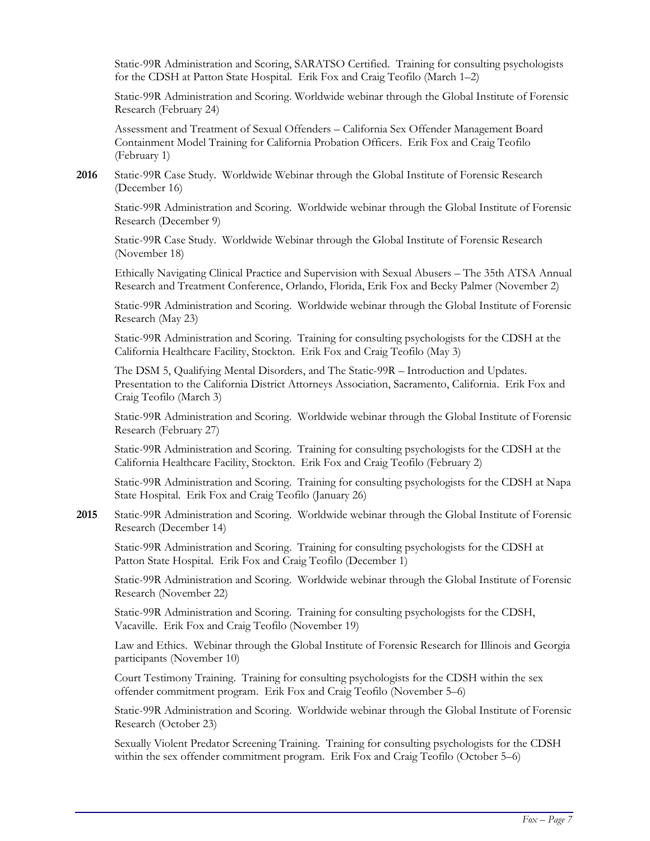Static-99R Administration and Scoring, SARATSO Certified. Training for consulting psychologists for the CDSH at Patton State Hospital. Erik Fox and Craig Teofilo (March 1–2)

Static-99R Administration and Scoring. Worldwide webinar through the Global Institute of Forensic Research (February 24)

Assessment and Treatment of Sexual Offenders – California Sex Offender Management Board Containment Model Training for California Probation Officers. Erik Fox and Craig Teofilo (February 1)

**2016** Static-99R Case Study. Worldwide Webinar through the Global Institute of Forensic Research (December 16)

Static-99R Administration and Scoring. Worldwide webinar through the Global Institute of Forensic Research (December 9)

Static-99R Case Study. Worldwide Webinar through the Global Institute of Forensic Research (November 18)

Ethically Navigating Clinical Practice and Supervision with Sexual Abusers – The 35th ATSA Annual Research and Treatment Conference, Orlando, Florida, Erik Fox and Becky Palmer (November 2)

Static-99R Administration and Scoring. Worldwide webinar through the Global Institute of Forensic Research (May 23)

Static-99R Administration and Scoring. Training for consulting psychologists for the CDSH at the California Healthcare Facility, Stockton. Erik Fox and Craig Teofilo (May 3)

The DSM 5, Qualifying Mental Disorders, and The Static-99R – Introduction and Updates. Presentation to the California District Attorneys Association, Sacramento, California. Erik Fox and Craig Teofilo (March 3)

Static-99R Administration and Scoring. Worldwide webinar through the Global Institute of Forensic Research (February 27)

Static-99R Administration and Scoring. Training for consulting psychologists for the CDSH at the California Healthcare Facility, Stockton. Erik Fox and Craig Teofilo (February 2)

Static-99R Administration and Scoring. Training for consulting psychologists for the CDSH at Napa State Hospital. Erik Fox and Craig Teofilo (January 26)

**2015** Static-99R Administration and Scoring. Worldwide webinar through the Global Institute of Forensic Research (December 14)

Static-99R Administration and Scoring. Training for consulting psychologists for the CDSH at Patton State Hospital. Erik Fox and Craig Teofilo (December 1)

Static-99R Administration and Scoring. Worldwide webinar through the Global Institute of Forensic Research (November 22)

Static-99R Administration and Scoring. Training for consulting psychologists for the CDSH, Vacaville. Erik Fox and Craig Teofilo (November 19)

Law and Ethics. Webinar through the Global Institute of Forensic Research for Illinois and Georgia participants (November 10)

Court Testimony Training. Training for consulting psychologists for the CDSH within the sex offender commitment program. Erik Fox and Craig Teofilo (November 5–6)

Static-99R Administration and Scoring. Worldwide webinar through the Global Institute of Forensic Research (October 23)

Sexually Violent Predator Screening Training. Training for consulting psychologists for the CDSH within the sex offender commitment program. Erik Fox and Craig Teofilo (October 5–6)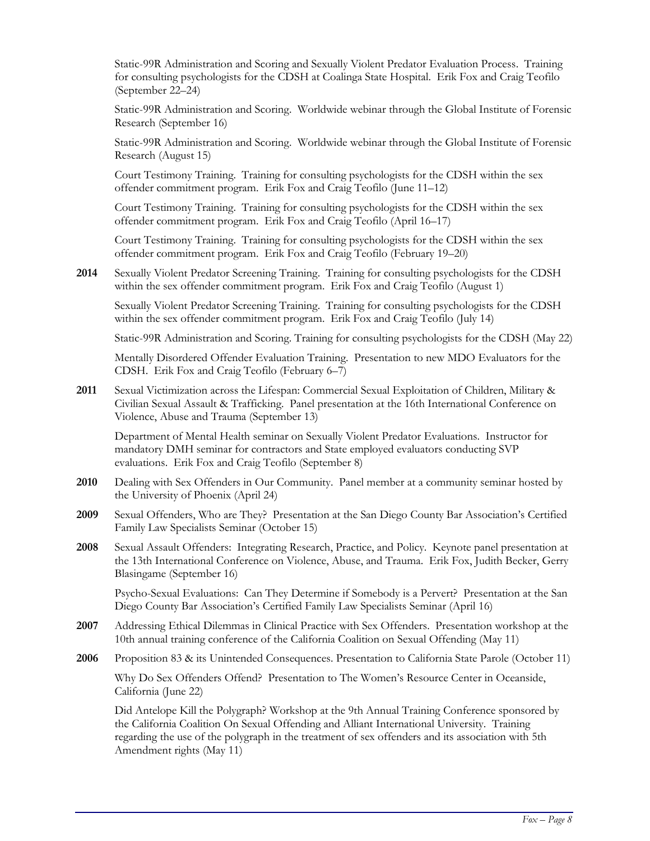Static-99R Administration and Scoring and Sexually Violent Predator Evaluation Process. Training for consulting psychologists for the CDSH at Coalinga State Hospital. Erik Fox and Craig Teofilo (September 22–24)

Static-99R Administration and Scoring. Worldwide webinar through the Global Institute of Forensic Research (September 16)

Static-99R Administration and Scoring. Worldwide webinar through the Global Institute of Forensic Research (August 15)

Court Testimony Training. Training for consulting psychologists for the CDSH within the sex offender commitment program. Erik Fox and Craig Teofilo (June 11–12)

Court Testimony Training. Training for consulting psychologists for the CDSH within the sex offender commitment program. Erik Fox and Craig Teofilo (April 16–17)

Court Testimony Training. Training for consulting psychologists for the CDSH within the sex offender commitment program. Erik Fox and Craig Teofilo (February 19–20)

**2014** Sexually Violent Predator Screening Training. Training for consulting psychologists for the CDSH within the sex offender commitment program. Erik Fox and Craig Teofilo (August 1)

Sexually Violent Predator Screening Training. Training for consulting psychologists for the CDSH within the sex offender commitment program. Erik Fox and Craig Teofilo (July 14)

Static-99R Administration and Scoring. Training for consulting psychologists for the CDSH (May 22)

Mentally Disordered Offender Evaluation Training. Presentation to new MDO Evaluators for the CDSH. Erik Fox and Craig Teofilo (February 6–7)

**2011** Sexual Victimization across the Lifespan: Commercial Sexual Exploitation of Children, Military & Civilian Sexual Assault & Trafficking. Panel presentation at the 16th International Conference on Violence, Abuse and Trauma (September 13)

Department of Mental Health seminar on Sexually Violent Predator Evaluations. Instructor for mandatory DMH seminar for contractors and State employed evaluators conducting SVP evaluations. Erik Fox and Craig Teofilo (September 8)

- **2010** Dealing with Sex Offenders in Our Community. Panel member at a community seminar hosted by the University of Phoenix (April 24)
- **2009** Sexual Offenders, Who are They? Presentation at the San Diego County Bar Association's Certified Family Law Specialists Seminar (October 15)
- **2008** Sexual Assault Offenders: Integrating Research, Practice, and Policy. Keynote panel presentation at the 13th International Conference on Violence, Abuse, and Trauma. Erik Fox, Judith Becker, Gerry Blasingame (September 16)

Psycho-Sexual Evaluations: Can They Determine if Somebody is a Pervert? Presentation at the San Diego County Bar Association's Certified Family Law Specialists Seminar (April 16)

- **2007** Addressing Ethical Dilemmas in Clinical Practice with Sex Offenders. Presentation workshop at the 10th annual training conference of the California Coalition on Sexual Offending (May 11)
- **2006** Proposition 83 & its Unintended Consequences. Presentation to California State Parole (October 11)

Why Do Sex Offenders Offend? Presentation to The Women's Resource Center in Oceanside, California (June 22)

Did Antelope Kill the Polygraph? Workshop at the 9th Annual Training Conference sponsored by the California Coalition On Sexual Offending and Alliant International University. Training regarding the use of the polygraph in the treatment of sex offenders and its association with 5th Amendment rights (May 11)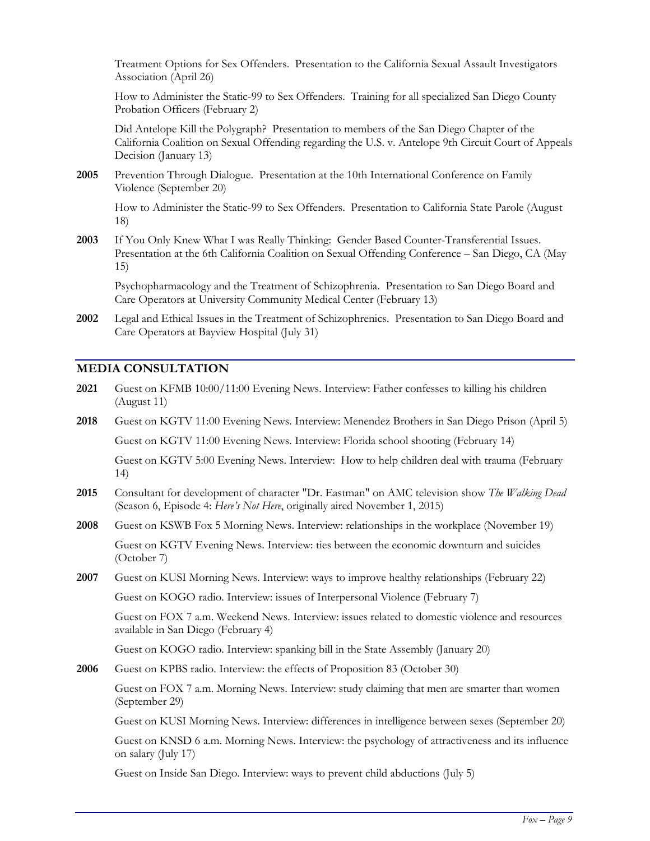Treatment Options for Sex Offenders. Presentation to the California Sexual Assault Investigators Association (April 26)

How to Administer the Static-99 to Sex Offenders. Training for all specialized San Diego County Probation Officers (February 2)

Did Antelope Kill the Polygraph? Presentation to members of the San Diego Chapter of the California Coalition on Sexual Offending regarding the U.S. v. Antelope 9th Circuit Court of Appeals Decision (January 13)

**2005** Prevention Through Dialogue. Presentation at the 10th International Conference on Family Violence (September 20)

How to Administer the Static-99 to Sex Offenders. Presentation to California State Parole (August 18)

**2003** If You Only Knew What I was Really Thinking: Gender Based Counter-Transferential Issues. Presentation at the 6th California Coalition on Sexual Offending Conference – San Diego, CA (May 15)

Psychopharmacology and the Treatment of Schizophrenia. Presentation to San Diego Board and Care Operators at University Community Medical Center (February 13)

**2002** Legal and Ethical Issues in the Treatment of Schizophrenics. Presentation to San Diego Board and Care Operators at Bayview Hospital (July 31)

### **MEDIA CONSULTATION**

- **2021** Guest on KFMB 10:00/11:00 Evening News. Interview: Father confesses to killing his children (August 11)
- **2018** Guest on KGTV 11:00 Evening News. Interview: Menendez Brothers in San Diego Prison (April 5) Guest on KGTV 11:00 Evening News. Interview: Florida school shooting (February 14)

Guest on KGTV 5:00 Evening News. Interview: How to help children deal with trauma (February

14)

- **2015** Consultant for development of character "Dr. Eastman" on AMC television show *The Walking Dead* (Season 6, Episode 4: *Here's Not Here*, originally aired November 1, 2015)
- **2008** Guest on KSWB Fox 5 Morning News. Interview: relationships in the workplace (November 19)

Guest on KGTV Evening News. Interview: ties between the economic downturn and suicides (October 7)

**2007** Guest on KUSI Morning News. Interview: ways to improve healthy relationships (February 22) Guest on KOGO radio. Interview: issues of Interpersonal Violence (February 7)

Guest on FOX 7 a.m. Weekend News. Interview: issues related to domestic violence and resources

available in San Diego (February 4)

Guest on KOGO radio. Interview: spanking bill in the State Assembly (January 20)

**2006** Guest on KPBS radio. Interview: the effects of Proposition 83 (October 30)

Guest on FOX 7 a.m. Morning News. Interview: study claiming that men are smarter than women (September 29)

Guest on KUSI Morning News. Interview: differences in intelligence between sexes (September 20)

Guest on KNSD 6 a.m. Morning News. Interview: the psychology of attractiveness and its influence on salary (July 17)

Guest on Inside San Diego. Interview: ways to prevent child abductions (July 5)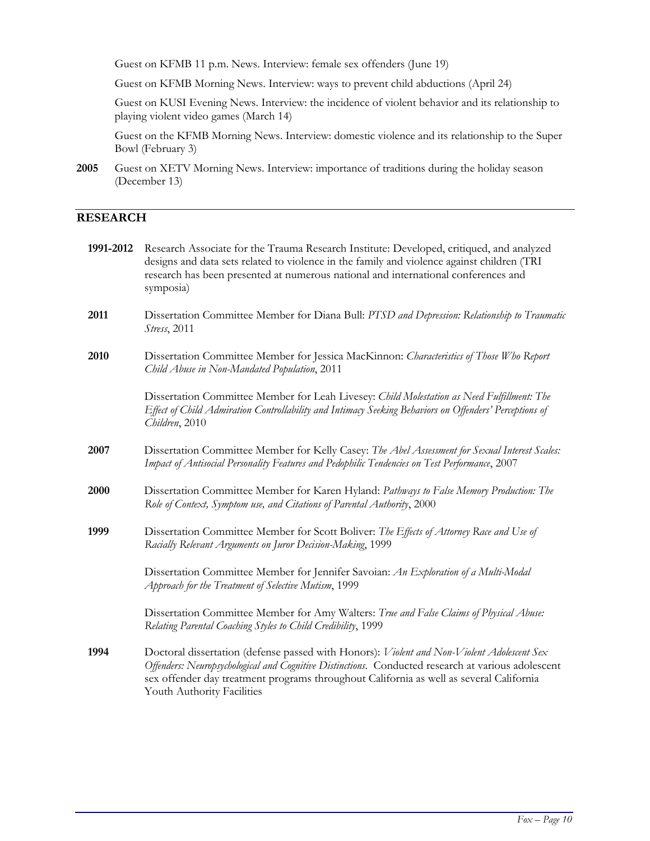Guest on KFMB 11 p.m. News. Interview: female sex offenders (June 19)

Guest on KFMB Morning News. Interview: ways to prevent child abductions (April 24)

Guest on KUSI Evening News. Interview: the incidence of violent behavior and its relationship to playing violent video games (March 14)

Guest on the KFMB Morning News. Interview: domestic violence and its relationship to the Super Bowl (February 3)

**2005** Guest on XETV Morning News. Interview: importance of traditions during the holiday season (December 13)

# **RESEARCH**

| 1991-2012 | Research Associate for the Trauma Research Institute: Developed, critiqued, and analyzed<br>designs and data sets related to violence in the family and violence against children (TRI<br>research has been presented at numerous national and international conferences and<br>symposia)                                 |
|-----------|---------------------------------------------------------------------------------------------------------------------------------------------------------------------------------------------------------------------------------------------------------------------------------------------------------------------------|
| 2011      | Dissertation Committee Member for Diana Bull: PTSD and Depression: Relationship to Traumatic<br>Stress, 2011                                                                                                                                                                                                              |
| 2010      | Dissertation Committee Member for Jessica MacKinnon: Characteristics of Those Who Report<br>Child Abuse in Non-Mandated Population, 2011                                                                                                                                                                                  |
|           | Dissertation Committee Member for Leah Livesey: Child Molestation as Need Fulfillment: The<br>Effect of Child Admiration Controllability and Intimacy Seeking Behaviors on Offenders' Perceptions of<br>Children, 2010                                                                                                    |
| 2007      | Dissertation Committee Member for Kelly Casey: The Abel Assessment for Sexual Interest Scales:<br>Impact of Antisocial Personality Features and Pedophilic Tendencies on Test Performance, 2007                                                                                                                           |
| 2000      | Dissertation Committee Member for Karen Hyland: Pathways to False Memory Production: The<br>Role of Context, Symptom use, and Citations of Parental Authority, 2000                                                                                                                                                       |
| 1999      | Dissertation Committee Member for Scott Boliver: The Effects of Attorney Race and Use of<br>Racially Relevant Arguments on Juror Decision-Making, 1999                                                                                                                                                                    |
|           | Dissertation Committee Member for Jennifer Savoian: An Exploration of a Multi-Modal<br>Approach for the Treatment of Selective Mutism, 1999                                                                                                                                                                               |
|           | Dissertation Committee Member for Amy Walters: True and False Claims of Physical Abuse:<br>Relating Parental Coaching Styles to Child Credibility, 1999                                                                                                                                                                   |
| 1994      | Doctoral dissertation (defense passed with Honors): Violent and Non-Violent Adolescent Sex<br>Offenders: Neuropsychological and Cognitive Distinctions. Conducted research at various adolescent<br>sex offender day treatment programs throughout California as well as several California<br>Youth Authority Facilities |